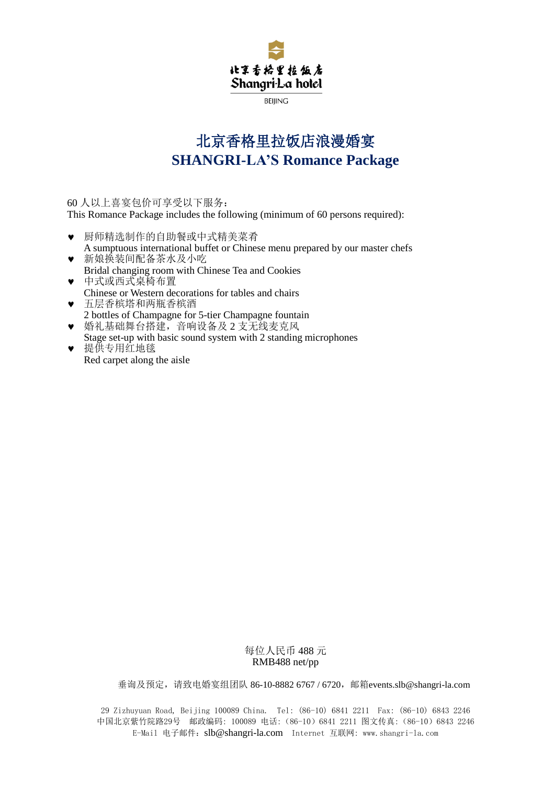

**BEIIING** 

# 北京香格里拉饭店浪漫婚宴 **SHANGRI-LA'S Romance Package**

60 人以上喜宴包价可享受以下服务:

This Romance Package includes the following (minimum of 60 persons required):

- 厨师精选制作的自助餐或中式精美菜肴 A sumptuous international buffet or Chinese menu prepared by our master chefs
- 新娘换装间配备茶水及小吃 Bridal changing room with Chinese Tea and Cookies
- 中式或西式桌椅布置 Chinese or Western decorations for tables and chairs 五层香槟塔和两瓶香槟酒
- 2 bottles of Champagne for 5-tier Champagne fountain ● 婚礼基础舞台搭建, 音响设备及 2 支无线麦克风
- Stage set-up with basic sound system with 2 standing microphones ● 提供专用红地毯
	- Red carpet along the aisle

## 每位人民币 488 元 RMB488 net/pp

垂询及预定,请致电婚宴组团队 86-10-8882 6767 / 6720,邮箱[events.slb@shangri-la.com](mailto:events.slb@shangri-la.com)

29 Zizhuyuan Road, Beijing 100089 China. Tel: (86-10) 6841 2211 Fax: (86-10) 6843 2246 中国北京紫竹院路29号 邮政编码: 100089 电话:(86-10)6841 2211 图文传真:(86-10)6843 2246 E-Mail 电子邮件:[slb@shangri-la.com](mailto:slb@shangri-la.com) Internet 互联网: www.shangri-la.com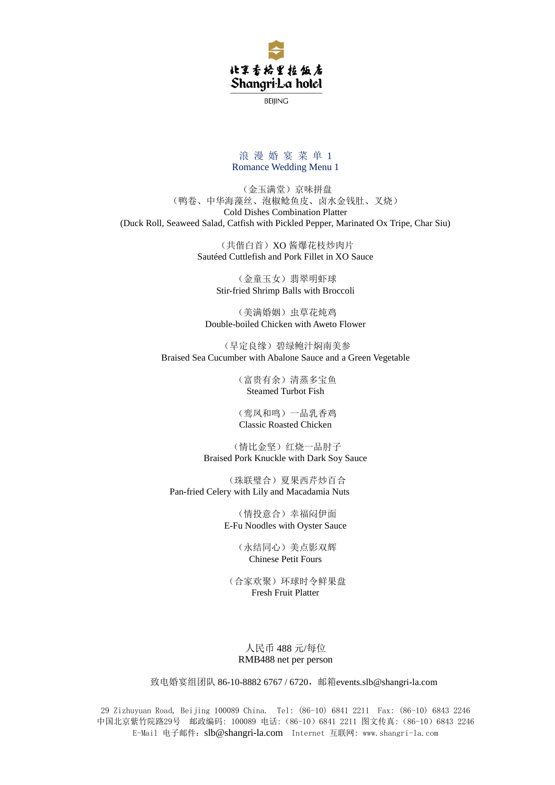

**BEIJING** 

### 浪漫婚宴菜单1 Romance Wedding Menu 1

(金玉满堂)京味拼盘 (鸭卷、中华海藻丝、泡椒鲶鱼皮、卤水金钱肚、叉烧) Cold Dishes Combination Platter (Duck Roll, Seaweed Salad, Catfish with Pickled Pepper, Marinated Ox Tripe, Char Siu)

> (共偕白首)XO 酱爆花枝炒肉片 Sautéed Cuttlefish and Pork Fillet in XO Sauce

> > (金童玉女)翡翠明虾球 Stir-fried Shrimp Balls with Broccoli

(美满婚姻)虫草花炖鸡 Double-boiled Chicken with Aweto Flower

(早定良缘)碧绿鲍汁焖南美参 Braised Sea Cucumber with Abalone Sauce and a Green Vegetable

> (富贵有余)清蒸多宝鱼 Steamed Turbot Fish

> (鸾凤和鸣)一品乳香鸡 Classic Roasted Chicken

(情比金坚)红烧一品肘子 Braised Pork Knuckle with Dark Soy Sauce

(珠联璧合)夏果西芹炒百合 Pan-fried Celery with Lily and Macadamia Nuts

> (情投意合)幸福闷伊面 E-Fu Noodles with Oyster Sauce

> > (永结同心)美点影双辉 Chinese Petit Fours

(合家欢聚)环球时令鲜果盘 Fresh Fruit Platter

## 人民币 488 元/每位 RMB488 net per person

致电婚宴组团队 86-10-8882 6767 / 6720, 邮箱[events.slb@shangri-la.com](mailto:events.slb@shangri-la.com)

29 Zizhuyuan Road, Beijing 100089 China. Tel: (86-10) 6841 2211 Fax: (86-10) 6843 2246 中国北京紫竹院路29号 邮政编码: 100089 电话:(86-10)6841 2211 图文传真:(86-10)6843 2246 E-Mail 电子邮件:[slb@shangri-la.com](mailto:slb@shangri-la.com) Internet 互联网: www.shangri-la.com